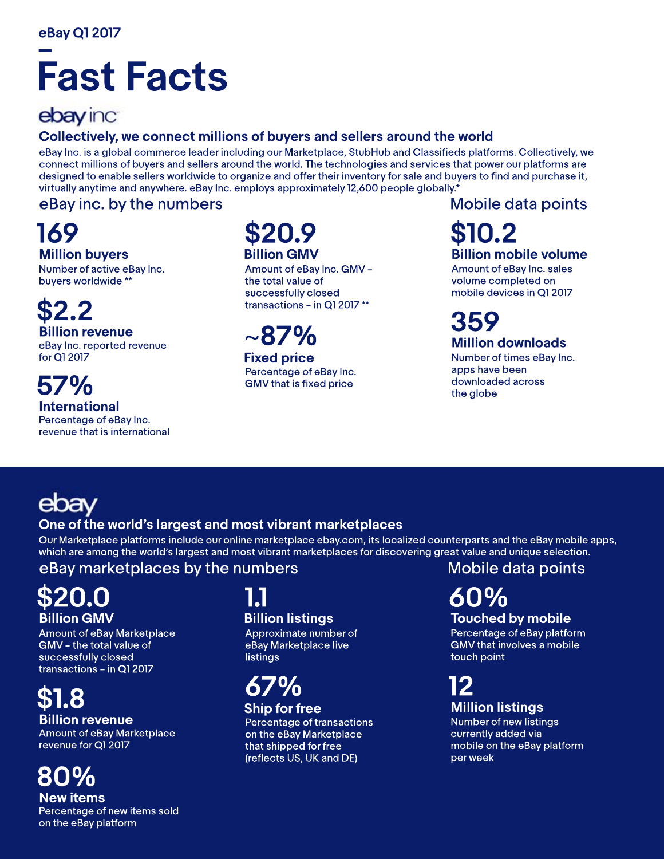# **Fast Facts**

## ebay inc

### Collectively, we connect millions of buyers and sellers around the world

eBay Inc. is a global commerce leader including our Marketplace, StubHub and Classifieds platforms. Collectively, we connect millions of buyers and sellers around the world. The technologies and services that power our platforms are designed to enable sellers worldwide to organize and offer their inventory for sale and buyers to find and purchase it, virtually anytime and anywhere. eBay Inc. employs approximately 12,600 people globally.\*

### eBay inc. by the numbers

**169 Million buyers** 

Number of active eBay Inc. buyers worldwide \*\*

**\$2.2 Billion revenue** 

eBay Inc. reported revenue forQ12017

#### **57% International** Percentage of eBay Inc. revenue that is international

## **\$20.9 Billion GMV**

Amount of eBay Inc. GMV the total value of successfully closed transactions - in Q1 2017\*\*

# ~**87%**

**Fixed price** Percentage of eBay Inc. GMV that is fixed price

### Mobile data points

### **\$10.2 Billion mobile volume**

Amount of eBay Inc. sales volume completed on mobile devices in Q1 2017

# **359**

**Million downloads** Number of times eBay Inc.

apps have been downloaded across the globe

# ebav

### **One of the world's largest and most vibrant marketplaces**

Our Marketplace platforms include our online marketplace ebay.com, its localized counterparts and the eBay mobile apps, which are among the world's largest and most vibrant marketplaces for discovering great value and unique selection.

### eBay marketplaces by the numbers

## **\$20.0 Billion GMV**

Amount of eBay Marketplace GMV - the total value of successfully closed transactions - in Q1 2017

# **\$1.8**

Amount of eBay Marketplace revenue for Q1 2017 **Billion revenue** 

# **80%**

**Newitems** Percentage of new items sold on the eBay platform

### **1.1 Billion listings**

Approximate number of eBay Marketplace live listings

### **67% Ship for free**

Percentage of transactions on the eBay Marketplace that shipped for free (reflects US, UK and DE)

### Mobile data points

# **60%**

### **Touched by mobile**

Percentage of eBay platform **GMV** that involves a mobile touch point

### **12 Million listings**

Number of new listings currently added via mobile on the eBay platform perweek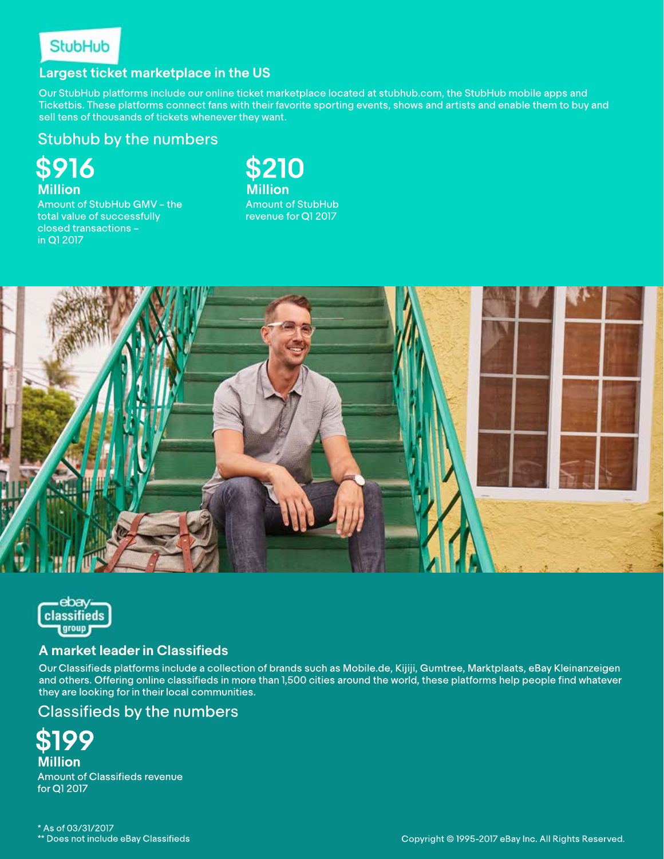

#### **Largest ticket marketplace in the US**

Our StubHub platforms include our online ticket marketplace located at stubhub.com, the StubHub mobile apps and Ticketbis. These platforms connect fans with their favorite sporting events, shows and artists and enable them to buy and sell tens of thousands of tickets whenever they want.

#### Stubhub by the numbers

**\$916 Million**

Amount of StubHub GMV - the total value of successfully closed transactions inQ12017

**\$210 Million Amount of StubHub** revenue for Q1 2017





#### **AmarketleaderinClassifieds**

Our Classifieds platforms include a collection of brands such as Mobile.de, Kijiji, Gumtree, Marktplaats, eBay Kleinanzeigen and others. Offering online classifieds in more than 1,500 cities around the world, these platforms help people find whatever they are looking for in their local communities.

#### Classifieds by the numbers

**\$199 Million Amount of Classifieds revenue** forQ12017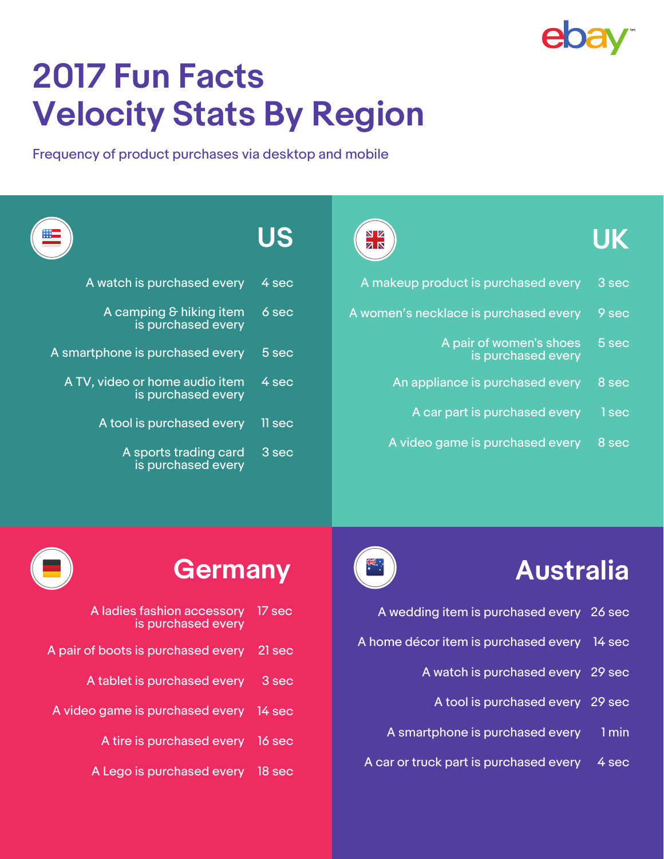

# **2017 Fun Facts Velocity Stats By Region**

Frequency of product purchases via desktop and mobile

| $\begin{array}{c}\n\star\star\star\downarrow\\ \star\star\star\downarrow\n\end{array}$ | US       | N Z<br><b>ZK</b>                              | <b>UK</b> |
|----------------------------------------------------------------------------------------|----------|-----------------------------------------------|-----------|
| A watch is purchased every                                                             | 4 sec    | A makeup product is purchased every           | 3 sec     |
| A camping & hiking item<br>is purchased every                                          | 6 sec    | A women's necklace is purchased every         | 9 sec     |
| A smartphone is purchased every                                                        | 5 sec    | A pair of women's shoes<br>is purchased every | 5 sec     |
| A TV, video or home audio item<br>is purchased every                                   | 4 sec    | An appliance is purchased every               | 8 sec     |
| A tool is purchased every                                                              | $11$ sec | A car part is purchased every                 | 1 sec     |
| A sports trading card<br>is purchased every                                            | $3$ sec  | A video game is purchased every               | 8 sec     |

- A wedding item is purchased every 26 sec
- A home décor item is purchased every 14 sec
	- A watch is purchased every 29 sec
		- A tool is purchased every 29 sec
	- A smartphone is purchased every 1 min
- A car or truck part is purchased every  $4$  sec

# **Germany Australia**



|        | A ladies fashion accessory 17 sec<br>is purchased every |
|--------|---------------------------------------------------------|
| 21 sec | A pair of boots is purchased every                      |
| 3 sec  | A tablet is purchased every                             |
|        | A video game is purchased every 14 sec                  |
|        | A tire is purchased every 16 sec                        |
|        | A Lego is purchased every 18 sec                        |
|        |                                                         |